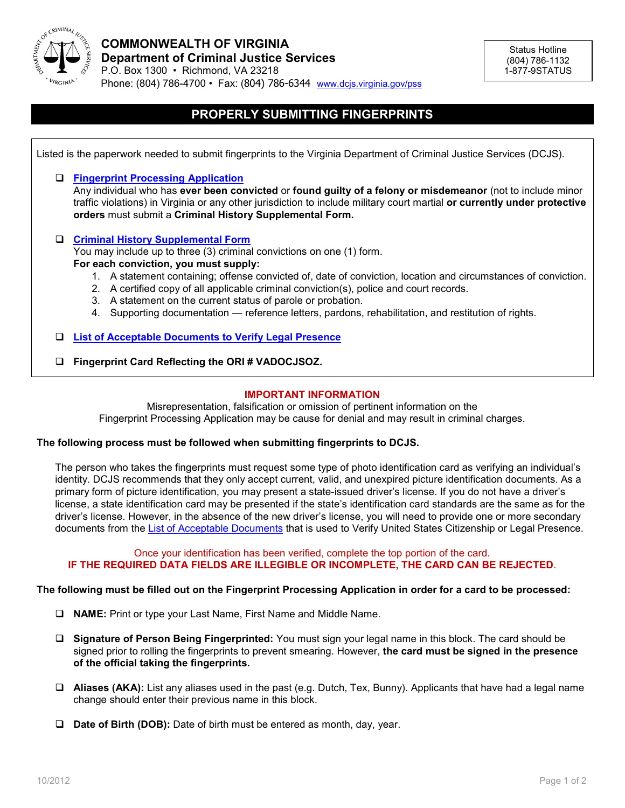

# **PROPERLY SUBMITTING FINGERPRINTS**

| Listed is the paperwork needed to submit fingerprints to the Virginia Department of Criminal Justice Services (DCJS). |                                                                                                                                                                                                                                                                                                                                                   |  |  |
|-----------------------------------------------------------------------------------------------------------------------|---------------------------------------------------------------------------------------------------------------------------------------------------------------------------------------------------------------------------------------------------------------------------------------------------------------------------------------------------|--|--|
|                                                                                                                       | <b>Fingerprint Processing Application</b><br>Any individual who has ever been convicted or found guilty of a felony or misdemeanor (not to include minor<br>traffic violations) in Virginia or any other jurisdiction to include military court martial or currently under protective<br>orders must submit a Criminal History Supplemental Form. |  |  |
|                                                                                                                       | <b>Criminal History Supplemental Form</b>                                                                                                                                                                                                                                                                                                         |  |  |
|                                                                                                                       | You may include up to three (3) criminal convictions on one (1) form.                                                                                                                                                                                                                                                                             |  |  |
|                                                                                                                       | For each conviction, you must supply:                                                                                                                                                                                                                                                                                                             |  |  |
|                                                                                                                       | 1. A statement containing; offense convicted of, date of conviction, location and circumstances of conviction.                                                                                                                                                                                                                                    |  |  |
|                                                                                                                       | A certified copy of all applicable criminal conviction(s), police and court records.<br>2.                                                                                                                                                                                                                                                        |  |  |
|                                                                                                                       | A statement on the current status of parole or probation.<br>3.                                                                                                                                                                                                                                                                                   |  |  |
|                                                                                                                       | Supporting documentation - reference letters, pardons, rehabilitation, and restitution of rights.<br>4.                                                                                                                                                                                                                                           |  |  |
|                                                                                                                       | <b>List of Acceptable Documents to Verify Legal Presence</b>                                                                                                                                                                                                                                                                                      |  |  |
| ❏                                                                                                                     | Fingerprint Card Reflecting the ORI# VADOCJSOZ.                                                                                                                                                                                                                                                                                                   |  |  |
|                                                                                                                       |                                                                                                                                                                                                                                                                                                                                                   |  |  |

## **IMPORTANT INFORMATION**

Misrepresentation, falsification or omission of pertinent information on the Fingerprint Processing Application may be cause for denial and may result in criminal charges.

#### **The following process must be followed when submitting fingerprints to DCJS.**

The person who takes the fingerprints must request some type of photo identification card as verifying an individual's identity. DCJS recommends that they only accept current, valid, and unexpired picture identification documents. As a primary form of picture identification, you may present a state-issued driver's license. If you do not have a driver's license, a state identification card may be presented if the state's identification card standards are the same as for the driver's license. However, in the absence of the new driver's license, you will need to provide one or more secondary documents from the [List of Acceptable Documents](http://www.dcjs.virginia.gov/forms/privatesecurity/listOfAcceptableDocs.pdf) that is used to Verify United States Citizenship or Legal Presence.

## Once your identification has been verified, complete the top portion of the card. **IF THE REQUIRED DATA FIELDS ARE ILLEGIBLE OR INCOMPLETE, THE CARD CAN BE REJECTED**.

## **The following must be filled out on the Fingerprint Processing Application in order for a card to be processed:**

- **NAME:** Print or type your Last Name, First Name and Middle Name.
- **Signature of Person Being Fingerprinted:** You must sign your legal name in this block. The card should be signed prior to rolling the fingerprints to prevent smearing. However, **the card must be signed in the presence of the official taking the fingerprints.**
- **Aliases (AKA):** List any aliases used in the past (e.g. Dutch, Tex, Bunny). Applicants that have had a legal name change should enter their previous name in this block.
- **Date of Birth (DOB):** Date of birth must be entered as month, day, year.